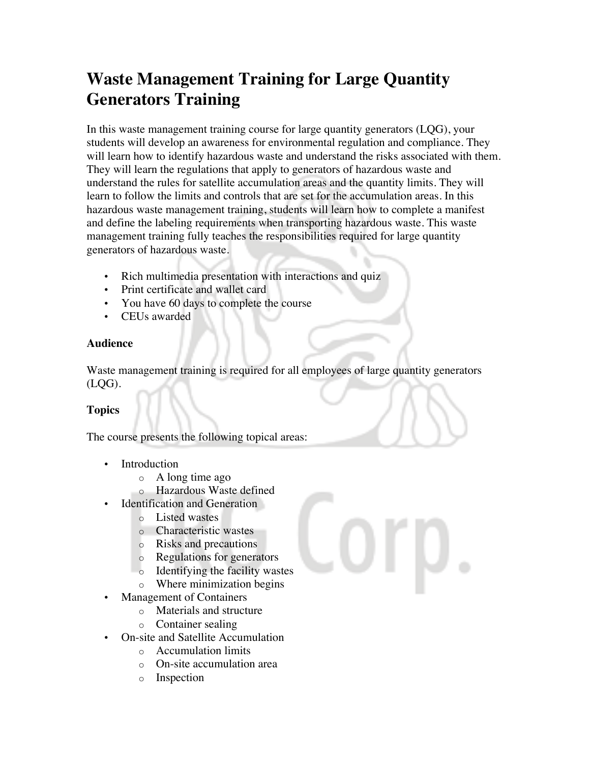# **Waste Management Training for Large Quantity Generators Training**

In this waste management training course for large quantity generators (LQG), your students will develop an awareness for environmental regulation and compliance. They will learn how to identify hazardous waste and understand the risks associated with them. They will learn the regulations that apply to generators of hazardous waste and understand the rules for satellite accumulation areas and the quantity limits. They will learn to follow the limits and controls that are set for the accumulation areas. In this hazardous waste management training, students will learn how to complete a manifest and define the labeling requirements when transporting hazardous waste. This waste management training fully teaches the responsibilities required for large quantity generators of hazardous waste.

- Rich multimedia presentation with interactions and quiz
- Print certificate and wallet card
- You have 60 days to complete the course
- CEUs awarded

#### **Audience**

Waste management training is required for all employees of large quantity generators (LQG).

## **Topics**

The course presents the following topical areas:

- Introduction
	- o A long time ago
	- o Hazardous Waste defined
- Identification and Generation
	- o Listed wastes
	- o Characteristic wastes
	- o Risks and precautions
	- o Regulations for generators
	- o Identifying the facility wastes
	- o Where minimization begins
- Management of Containers
	- o Materials and structure
	- o Container sealing
- On-site and Satellite Accumulation
	- o Accumulation limits
	- o On-site accumulation area
	- o Inspection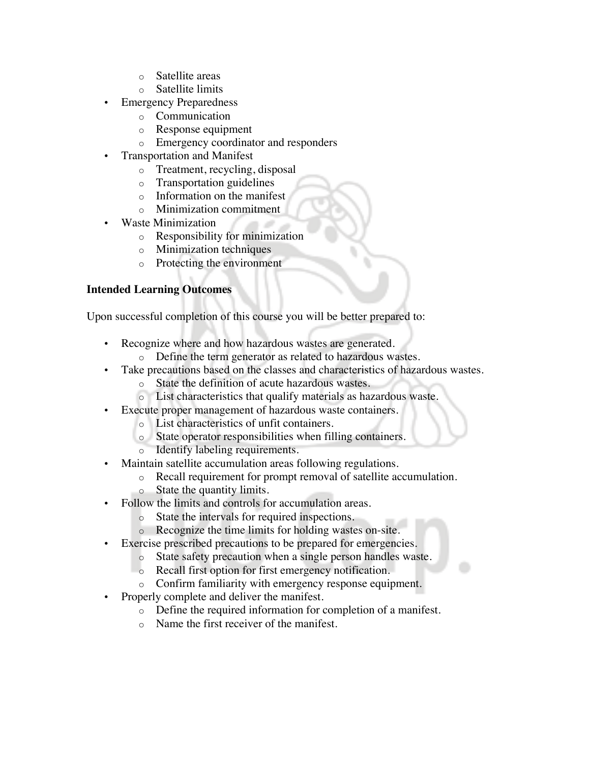- o Satellite areas
- o Satellite limits
- **Emergency Preparedness** 
	- o Communication
	- o Response equipment
	- o Emergency coordinator and responders
- Transportation and Manifest
	- o Treatment, recycling, disposal
	- o Transportation guidelines
	- o Information on the manifest
	- o Minimization commitment
- Waste Minimization
	- o Responsibility for minimization
	- o Minimization techniques
	- o Protecting the environment

### **Intended Learning Outcomes**

Upon successful completion of this course you will be better prepared to:

- Recognize where and how hazardous wastes are generated.
	- o Define the term generator as related to hazardous wastes.
- Take precautions based on the classes and characteristics of hazardous wastes.
	- o State the definition of acute hazardous wastes.
	- o List characteristics that qualify materials as hazardous waste.
- Execute proper management of hazardous waste containers.
	- o List characteristics of unfit containers.
	- o State operator responsibilities when filling containers.
	- o Identify labeling requirements.
- Maintain satellite accumulation areas following regulations.
	- o Recall requirement for prompt removal of satellite accumulation.
	- o State the quantity limits.
- Follow the limits and controls for accumulation areas.
	- o State the intervals for required inspections.
	- o Recognize the time limits for holding wastes on-site.
- Exercise prescribed precautions to be prepared for emergencies.
	- o State safety precaution when a single person handles waste.
	- o Recall first option for first emergency notification.
	- o Confirm familiarity with emergency response equipment.
- Properly complete and deliver the manifest.
	- o Define the required information for completion of a manifest.
	- o Name the first receiver of the manifest.